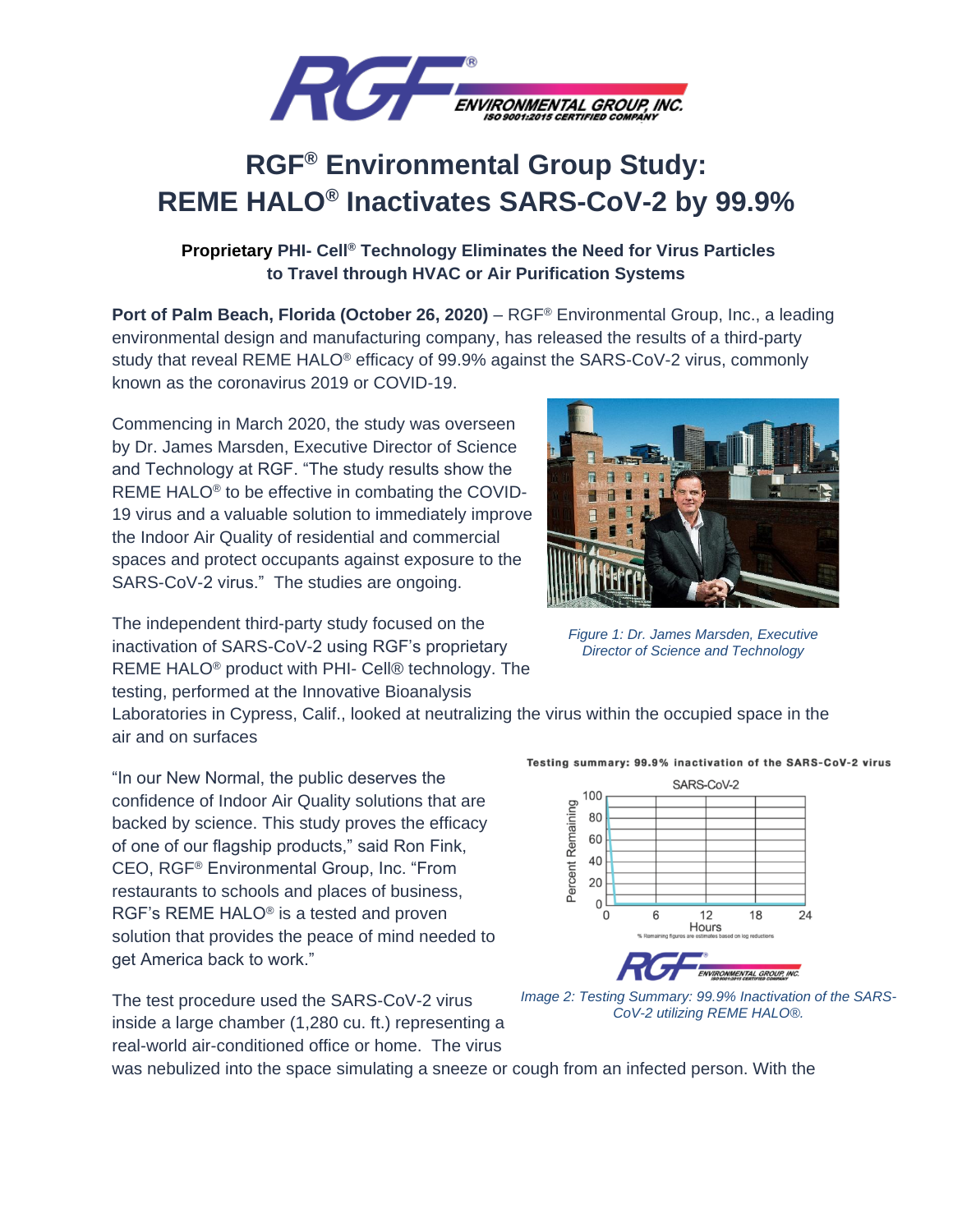

## **RGF® Environmental Group Study: REME HALO® Inactivates SARS-CoV-2 by 99.9%**

## **Proprietary PHI- Cell® Technology Eliminates the Need for Virus Particles to Travel through HVAC or Air Purification Systems**

**Port of Palm Beach, Florida (October 26, 2020)** – RGF<sup>®</sup> Environmental Group, Inc., a leading environmental design and manufacturing company, has released the results of a third-party study that reveal REME HALO® efficacy of 99.9% against the SARS-CoV-2 virus, commonly known as the coronavirus 2019 or COVID-19.

Commencing in March 2020, the study was overseen by Dr. James Marsden, Executive Director of Science and Technology at RGF. "The study results show the REME HALO® to be effective in combating the COVID-19 virus and a valuable solution to immediately improve the Indoor Air Quality of residential and commercial spaces and protect occupants against exposure to the SARS-CoV-2 virus." The studies are ongoing.

The independent third-party study focused on the inactivation of SARS-CoV-2 using RGF's proprietary REME HALO® product with PHI- Cell® technology. The testing, performed at the Innovative Bioanalysis

Laboratories in Cypress, Calif., looked at neutralizing the virus within the occupied space in the air and on surfaces

"In our New Normal, the public deserves the confidence of Indoor Air Quality solutions that are backed by science. This study proves the efficacy of one of our flagship products," said Ron Fink, CEO, RGF® Environmental Group, Inc. "From restaurants to schools and places of business, RGF's REME HALO® is a tested and proven solution that provides the peace of mind needed to get America back to work."

The test procedure used the SARS-CoV-2 virus inside a large chamber (1,280 cu. ft.) representing a real-world air-conditioned office or home. The virus



*Figure 1: Dr. James Marsden, Executive Director of Science and Technology* 

Testing summary: 99.9% inactivation of the SARS-CoV-2 virus



*Image 2: Testing Summary: 99.9% Inactivation of the SARS-CoV-2 utilizing REME HALO®.* 

was nebulized into the space simulating a sneeze or cough from an infected person. With the